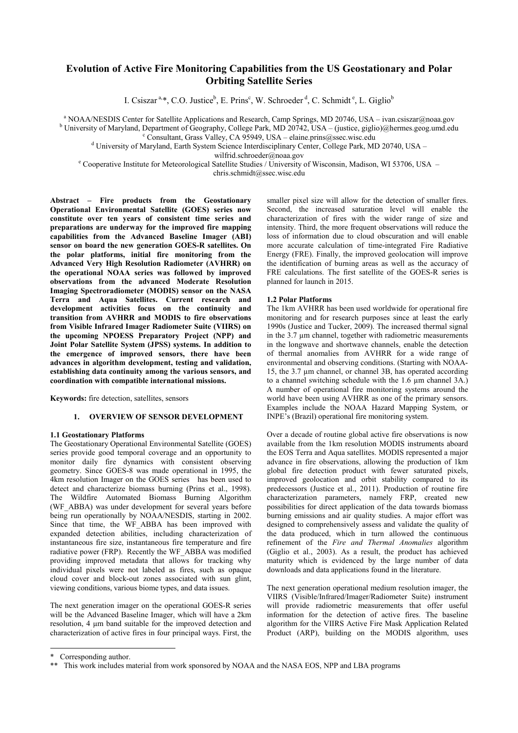# **Evolution of Active Fire Monitoring Capabilities from the US Geostationary and Polar Orbiting Satellite Series**

I. Csiszar<sup>a,\*</sup>, C.O. Justice<sup>b</sup>, E. Prins<sup>c</sup>, W. Schroeder<sup>d</sup>, C. Schmidt<sup>e</sup>, L. Giglio<sup>b</sup>

<sup>a</sup> NOAA/NESDIS Center for Satellite Applications and Research, Camp Springs, MD 20746, USA – ivan.csiszar@noaa.gov <sup>b</sup> University of Maryland, Department of Geography, College Park, MD 20742, USA – (justice, giglio)@hermes.geog.umd.edu

c Consultant, Grass Valley, CA 95949, USA – elaine.prins@ssec.wisc.edu

<sup>d</sup> University of Maryland, Earth System Science Interdisciplinary Center, College Park, MD 20740, USA -

wilfrid.schroeder@noaa.gov

e Cooperative Institute for Meteorological Satellite Studies / University of Wisconsin, Madison, WI 53706, USA –

chris.schmidt@ssec.wisc.edu

**Abstract – Fire products from the Geostationary Operational Environmental Satellite (GOES) series now constitute over ten years of consistent time series and preparations are underway for the improved fire mapping capabilities from the Advanced Baseline Imager (ABI) sensor on board the new generation GOES-R satellites. On the polar platforms, initial fire monitoring from the Advanced Very High Resolution Radiometer (AVHRR) on the operational NOAA series was followed by improved observations from the advanced Moderate Resolution Imaging Spectroradiometer (MODIS) sensor on the NASA Terra and Aqua Satellites. Current research and development activities focus on the continuity and transition from AVHRR and MODIS to fire observations from Visible Infrared Imager Radiometer Suite (VIIRS) on the upcoming NPOESS Preparatory Project (NPP) and Joint Polar Satellite System (JPSS) systems. In addition to the emergence of improved sensors, there have been advances in algorithm development, testing and validation, establishing data continuity among the various sensors, and coordination with compatible international missions.** 

**Keywords:** fire detection, satellites, sensors

# **1. OVERVIEW OF SENSOR DEVELOPMENT**

#### **1.1 Geostationary Platforms**

The Geostationary Operational Environmental Satellite (GOES) series provide good temporal coverage and an opportunity to monitor daily fire dynamics with consistent observing geometry. Since GOES-8 was made operational in 1995, the 4km resolution Imager on the GOES series has been used to detect and characterize biomass burning (Prins et al., 1998). The Wildfire Automated Biomass Burning Algorithm (WF\_ABBA) was under development for several years before being run operationally by NOAA/NESDIS, starting in 2002. Since that time, the WF ABBA has been improved with expanded detection abilities, including characterization of instantaneous fire size, instantaneous fire temperature and fire radiative power (FRP). Recently the WF\_ABBA was modified providing improved metadata that allows for tracking why individual pixels were not labeled as fires, such as opaque cloud cover and block-out zones associated with sun glint, viewing conditions, various biome types, and data issues.

The next generation imager on the operational GOES-R series will be the Advanced Baseline Imager, which will have a 2km resolution, 4 µm band suitable for the improved detection and characterization of active fires in four principal ways. First, the smaller pixel size will allow for the detection of smaller fires. Second, the increased saturation level will enable the characterization of fires with the wider range of size and intensity. Third, the more frequent observations will reduce the loss of information due to cloud obscuration and will enable more accurate calculation of time-integrated Fire Radiative Energy (FRE). Finally, the improved geolocation will improve the identification of burning areas as well as the accuracy of FRE calculations. The first satellite of the GOES-R series is planned for launch in 2015.

### **1.2 Polar Platforms**

The 1km AVHRR has been used worldwide for operational fire monitoring and for research purposes since at least the early 1990s (Justice and Tucker, 2009). The increased thermal signal in the 3.7 µm channel, together with radiometric measurements in the longwave and shortwave channels, enable the detection of thermal anomalies from AVHRR for a wide range of environmental and observing conditions. (Starting with NOAA-15, the 3.7 µm channel, or channel 3B, has operated according to a channel switching schedule with the 1.6 µm channel 3A.) A number of operational fire monitoring systems around the world have been using AVHRR as one of the primary sensors. Examples include the NOAA Hazard Mapping System, or INPE's (Brazil) operational fire monitoring system.

Over a decade of routine global active fire observations is now available from the 1km resolution MODIS instruments aboard the EOS Terra and Aqua satellites. MODIS represented a major advance in fire observations, allowing the production of 1km global fire detection product with fewer saturated pixels, improved geolocation and orbit stability compared to its predecessors (Justice et al., 2011). Production of routine fire characterization parameters, namely FRP, created new possibilities for direct application of the data towards biomass burning emissions and air quality studies. A major effort was designed to comprehensively assess and validate the quality of the data produced, which in turn allowed the continuous refinement of the *Fire and Thermal Anomalies* algorithm (Giglio et al., 2003). As a result, the product has achieved maturity which is evidenced by the large number of data downloads and data applications found in the literature.

The next generation operational medium resolution imager, the VIIRS (Visible/Infrared/Imager/Radiometer Suite) instrument will provide radiometric measurements that offer useful information for the detection of active fires. The baseline algorithm for the VIIRS Active Fire Mask Application Related Product (ARP), building on the MODIS algorithm, uses

-

<sup>\*</sup> Corresponding author.

<sup>\*\*</sup> This work includes material from work sponsored by NOAA and the NASA EOS, NPP and LBA programs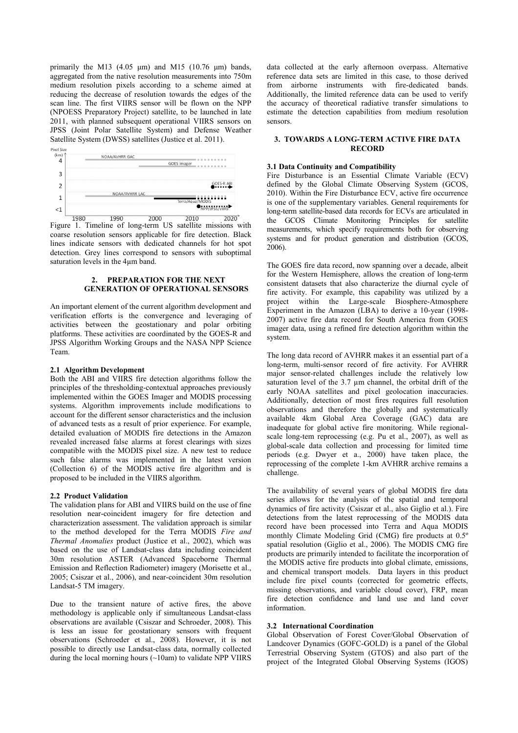primarily the M13 (4.05  $\mu$ m) and M15 (10.76  $\mu$ m) bands, aggregated from the native resolution measurements into 750m medium resolution pixels according to a scheme aimed at reducing the decrease of resolution towards the edges of the scan line. The first VIIRS sensor will be flown on the NPP (NPOESS Preparatory Project) satellite, to be launched in late 2011, with planned subsequent operational VIIRS sensors on JPSS (Joint Polar Satellite System) and Defense Weather Satellite System (DWSS) satellites (Justice et al. 2011).



Figure 1. Timeline of long-term US satellite missions with coarse resolution sensors applicable for fire detection. Black lines indicate sensors with dedicated channels for hot spot detection. Grey lines correspond to sensors with suboptimal saturation levels in the 4µm band.

## **2. PREPARATION FOR THE NEXT GENERATION OF OPERATIONAL SENSORS**

An important element of the current algorithm development and verification efforts is the convergence and leveraging of activities between the geostationary and polar orbiting platforms. These activities are coordinated by the GOES-R and JPSS Algorithm Working Groups and the NASA NPP Science Team.

#### **2.1 Algorithm Development**

Both the ABI and VIIRS fire detection algorithms follow the principles of the thresholding-contextual approaches previously implemented within the GOES Imager and MODIS processing systems. Algorithm improvements include modifications to account for the different sensor characteristics and the inclusion of advanced tests as a result of prior experience. For example, detailed evaluation of MODIS fire detections in the Amazon revealed increased false alarms at forest clearings with sizes compatible with the MODIS pixel size. A new test to reduce such false alarms was implemented in the latest version (Collection 6) of the MODIS active fire algorithm and is proposed to be included in the VIIRS algorithm.

#### **2.2 Product Validation**

The validation plans for ABI and VIIRS build on the use of fine resolution near-coincident imagery for fire detection and characterization assessment. The validation approach is similar to the method developed for the Terra MODIS *Fire and Thermal Anomalies* product (Justice et al., 2002), which was based on the use of Landsat-class data including coincident 30m resolution ASTER (Advanced Spaceborne Thermal Emission and Reflection Radiometer) imagery (Morisette et al., 2005; Csiszar et al., 2006), and near-coincident 30m resolution Landsat-5 TM imagery.

Due to the transient nature of active fires, the above methodology is applicable only if simultaneous Landsat-class observations are available (Csiszar and Schroeder, 2008). This is less an issue for geostationary sensors with frequent observations (Schroeder et al., 2008). However, it is not possible to directly use Landsat-class data, normally collected during the local morning hours (~10am) to validate NPP VIIRS

data collected at the early afternoon overpass. Alternative reference data sets are limited in this case, to those derived from airborne instruments with fire-dedicated bands. Additionally, the limited reference data can be used to verify the accuracy of theoretical radiative transfer simulations to estimate the detection capabilities from medium resolution sensors.

## **3. TOWARDS A LONG-TERM ACTIVE FIRE DATA RECORD**

#### **3.1 Data Continuity and Compatibility**

Fire Disturbance is an Essential Climate Variable (ECV) defined by the Global Climate Observing System (GCOS, 2010). Within the Fire Disturbance ECV, active fire occurrence is one of the supplementary variables. General requirements for long-term satellite-based data records for ECVs are articulated in the GCOS Climate Monitoring Principles for satellite measurements, which specify requirements both for observing systems and for product generation and distribution (GCOS, 2006).

The GOES fire data record, now spanning over a decade, albeit for the Western Hemisphere, allows the creation of long-term consistent datasets that also characterize the diurnal cycle of fire activity. For example, this capability was utilized by a project within the Large-scale Biosphere-Atmosphere Experiment in the Amazon (LBA) to derive a 10-year (1998- 2007) active fire data record for South America from GOES imager data, using a refined fire detection algorithm within the system.

The long data record of AVHRR makes it an essential part of a long-term, multi-sensor record of fire activity. For AVHRR major sensor-related challenges include the relatively low saturation level of the 3.7 µm channel, the orbital drift of the early NOAA satellites and pixel geolocation inaccuracies. Additionally, detection of most fires requires full resolution observations and therefore the globally and systematically available 4km Global Area Coverage (GAC) data are inadequate for global active fire monitoring. While regionalscale long-tem reprocessing (e.g. Pu et al., 2007), as well as global-scale data collection and processing for limited time periods (e.g. Dwyer et a., 2000) have taken place, the reprocessing of the complete 1-km AVHRR archive remains a challenge.

The availability of several years of global MODIS fire data series allows for the analysis of the spatial and temporal dynamics of fire activity (Csiszar et al., also Giglio et al.). Fire detections from the latest reprocessing of the MODIS data record have been processed into Terra and Aqua MODIS monthly Climate Modeling Grid (CMG) fire products at 0.5º spatial resolution (Giglio et al., 2006). The MODIS CMG fire products are primarily intended to facilitate the incorporation of the MODIS active fire products into global climate, emissions, and chemical transport models. Data layers in this product include fire pixel counts (corrected for geometric effects, missing observations, and variable cloud cover), FRP, mean fire detection confidence and land use and land cover information.

# **3.2 International Coordination**

Global Observation of Forest Cover/Global Observation of Landcover Dynamics (GOFC-GOLD) is a panel of the Global Terrestrial Observing System (GTOS) and also part of the project of the Integrated Global Observing Systems (IGOS)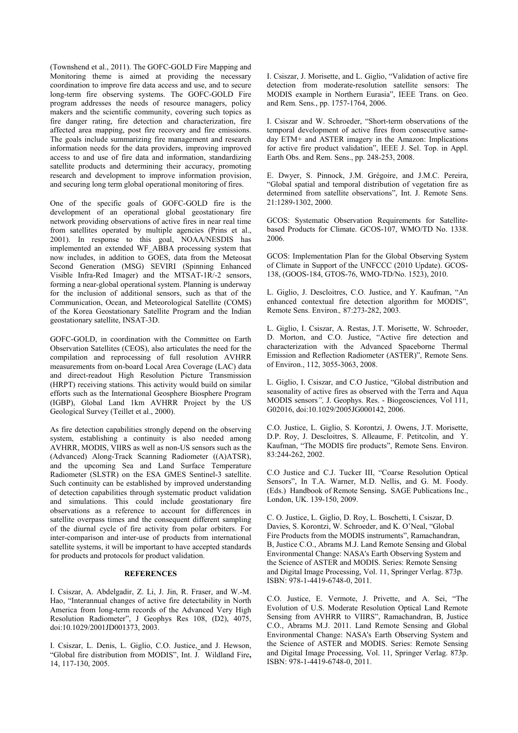(Townshend et al., 2011). The GOFC-GOLD Fire Mapping and Monitoring theme is aimed at providing the necessary coordination to improve fire data access and use, and to secure long-term fire observing systems. The GOFC-GOLD Fire program addresses the needs of resource managers, policy makers and the scientific community, covering such topics as fire danger rating, fire detection and characterization, fire affected area mapping, post fire recovery and fire emissions. The goals include summarizing fire management and research information needs for the data providers, improving improved access to and use of fire data and information, standardizing satellite products and determining their accuracy, promoting research and development to improve information provision, and securing long term global operational monitoring of fires.

One of the specific goals of GOFC-GOLD fire is the development of an operational global geostationary fire network providing observations of active fires in near real time from satellites operated by multiple agencies (Prins et al., 2001). In response to this goal, NOAA/NESDIS has implemented an extended WF\_ABBA processing system that now includes, in addition to GOES, data from the Meteosat Second Generation (MSG) SEVIRI (Spinning Enhanced Visible Infra-Red Imager) and the MTSAT-1R/-2 sensors, forming a near-global operational system. Planning is underway for the inclusion of additional sensors, such as that of the Communication, Ocean, and Meteorological Satellite (COMS) of the Korea Geostationary Satellite Program and the Indian geostationary satellite, INSAT-3D.

GOFC-GOLD, in coordination with the Committee on Earth Observation Satellites (CEOS), also articulates the need for the compilation and reprocessing of full resolution AVHRR measurements from on-board Local Area Coverage (LAC) data and direct-readout High Resolution Picture Transmission (HRPT) receiving stations. This activity would build on similar efforts such as the International Geosphere Biosphere Program (IGBP), Global Land 1km AVHRR Project by the US Geological Survey (Teillet et al., 2000).

As fire detection capabilities strongly depend on the observing system, establishing a continuity is also needed among AVHRR, MODIS, VIIRS as well as non-US sensors such as the (Advanced) Along-Track Scanning Radiometer ((A)ATSR), and the upcoming Sea and Land Surface Temperature Radiometer (SLSTR) on the ESA GMES Sentinel-3 satellite. Such continuity can be established by improved understanding of detection capabilities through systematic product validation and simulations. This could include geostationary fire observations as a reference to account for differences in satellite overpass times and the consequent different sampling of the diurnal cycle of fire activity from polar orbiters. For inter-comparison and inter-use of products from international satellite systems, it will be important to have accepted standards for products and protocols for product validation.

#### **REFERENCES**

I. Csiszar, A. Abdelgadir, Z. Li, J. Jin, R. Fraser, and W.-M. Hao, "Interannual changes of active fire detectability in North America from long-term records of the Advanced Very High Resolution Radiometer", J Geophys Res 108, (D2), 4075, doi:10.1029/2001JD001373, 2003.

I. Csiszar, L. Denis, L. Giglio, C.O. Justice, and J. Hewson, "Global fire distribution from MODIS", Int. J. Wildland Fire**,** 14, 117-130, 2005.

I. Csiszar, J. Morisette, and L. Giglio, "Validation of active fire detection from moderate-resolution satellite sensors: The MODIS example in Northern Eurasia", IEEE Trans. on Geo. and Rem. Sens., pp. 1757-1764, 2006.

I. Csiszar and W. Schroeder, "Short-term observations of the temporal development of active fires from consecutive sameday ETM+ and ASTER imagery in the Amazon: Implications for active fire product validation", IEEE J. Sel. Top. in Appl. Earth Obs. and Rem. Sens., pp. 248-253, 2008.

E. Dwyer, S. Pinnock, J.M. Grégoire, and J.M.C. Pereira, "Global spatial and temporal distribution of vegetation fire as determined from satellite observations", Int. J. Remote Sens. 21:1289-1302, 2000.

GCOS: Systematic Observation Requirements for Satellitebased Products for Climate. GCOS-107, WMO/TD No. 1338. 2006.

GCOS: Implementation Plan for the Global Observing System of Climate in Support of the UNFCCC (2010 Update). GCOS-138, (GOOS-184, GTOS-76, WMO-TD/No. 1523), 2010.

L. Giglio, J. Descloitres, C.O. Justice, and Y. Kaufman, "An enhanced contextual fire detection algorithm for MODIS", Remote Sens. Environ.*,* 87:273-282, 2003.

L. Giglio, I. Csiszar, A. Restas, J.T. Morisette, W. Schroeder, D. Morton, and C.O. Justice, "Active fire detection and characterization with the Advanced Spaceborne Thermal Emission and Reflection Radiometer (ASTER)", Remote Sens. of Environ., 112, 3055-3063, 2008.

L. Giglio, I. Csiszar, and C.O Justice, "Global distribution and seasonality of active fires as observed with the Terra and Aqua MODIS sensors*",* J. Geophys. Res. - Biogeosciences*,* Vol 111, G02016, doi:10.1029/2005JG000142, 2006.

C.O. Justice, L. Giglio, S. Korontzi, J. Owens, J.T. Morisette, D.P. Roy, J. Descloitres, S. Alleaume, F. Petitcolin, and Y. Kaufman, "The MODIS fire products", Remote Sens. Environ. 83:244-262, 2002.

C.O Justice and C.J. Tucker III, "Coarse Resolution Optical Sensors", In T.A. Warner, M.D. Nellis, and G. M. Foody. (Eds.) Handbook of Remote Sensing**.** SAGE Publications Inc., London, UK. 139-150, 2009.

C. O. Justice, L. Giglio, D. Roy, L. Boschetti, I. Csiszar, D. Davies, S. Korontzi, W. Schroeder, and K. O'Neal, "Global Fire Products from the MODIS instruments", Ramachandran, B, Justice C.O., Abrams M.J. Land Remote Sensing and Global Environmental Change: NASA's Earth Observing System and the Science of ASTER and MODIS. Series: [Remote Sensing](http://www.springer.com/series/6477)  [and Digital Image Processing,](http://www.springer.com/series/6477) Vol. 11, Springer Verlag. 873p. ISBN: 978-1-4419-6748-0, 2011.

C.O. Justice, E. Vermote, J. Privette, and A. Sei, "The Evolution of U.S. Moderate Resolution Optical Land Remote Sensing from AVHRR to VIIRS", Ramachandran, B, Justice C.O., Abrams M.J. 2011. Land Remote Sensing and Global Environmental Change: NASA's Earth Observing System and the Science of ASTER and MODIS. Series: [Remote Sensing](http://www.springer.com/series/6477)  [and Digital Image Processing](http://www.springer.com/series/6477), Vol. 11, Springer Verlag. 873p. ISBN: 978-1-4419-6748-0, 2011.